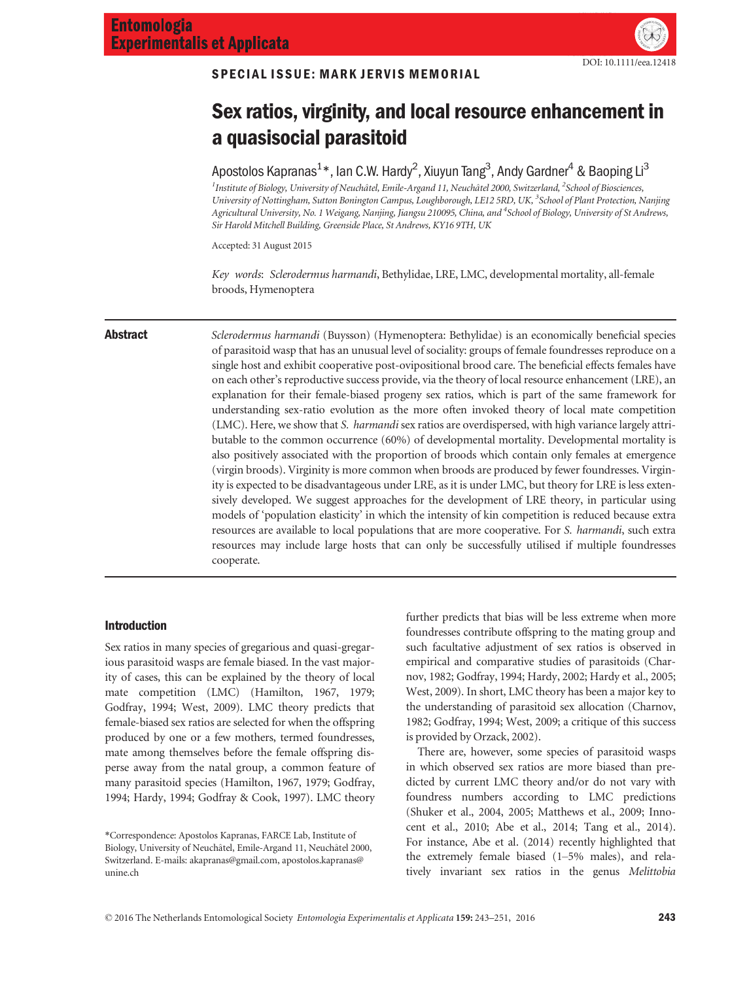## SPECIAL ISSUE: MARK JERVIS MEMORIAL



# Sex ratios, virginity, and local resource enhancement in a quasisocial parasitoid

Apostolos Kapranas<sup>1</sup>\*, Ian C.W. Hardy<sup>2</sup>, Xiuyun Tang<sup>3</sup>, Andy Gardner<sup>4</sup> & Baoping Li<sup>3</sup>

 $^{\rm 1}$ Institute of Biology, University of Neuchâtel, Emile-Argand 11, Neuchâtel 2000, Switzerland,  $^{\rm 2}$ School of Biosciences, University of Nottingham, Sutton Bonington Campus, Loughborough, LE12 5RD, UK, <sup>3</sup>School of Plant Protection, Nanjing Agricultural University, No. 1 Weigang, Nanjing, Jiangsu 210095, China, and <sup>4</sup>School of Biology, University of St Andrews, Sir Harold Mitchell Building, Greenside Place, St Andrews, KY16 9TH, UK

Accepted: 31 August 2015

Key words: Sclerodermus harmandi, Bethylidae, LRE, LMC, developmental mortality, all-female broods, Hymenoptera

**Abstract** Sclerodermus harmandi (Buysson) (Hymenoptera: Bethylidae) is an economically beneficial species of parasitoid wasp that has an unusual level of sociality: groups of female foundresses reproduce on a single host and exhibit cooperative post-ovipositional brood care. The beneficial effects females have on each other's reproductive success provide, via the theory of local resource enhancement (LRE), an explanation for their female-biased progeny sex ratios, which is part of the same framework for understanding sex-ratio evolution as the more often invoked theory of local mate competition (LMC). Here, we show that S. harmandi sex ratios are overdispersed, with high variance largely attributable to the common occurrence (60%) of developmental mortality. Developmental mortality is also positively associated with the proportion of broods which contain only females at emergence (virgin broods). Virginity is more common when broods are produced by fewer foundresses. Virginity is expected to be disadvantageous under LRE, as it is under LMC, but theory for LRE is less extensively developed. We suggest approaches for the development of LRE theory, in particular using models of 'population elasticity' in which the intensity of kin competition is reduced because extra resources are available to local populations that are more cooperative. For S. harmandi, such extra resources may include large hosts that can only be successfully utilised if multiple foundresses cooperate.

### Introduction

Sex ratios in many species of gregarious and quasi-gregarious parasitoid wasps are female biased. In the vast majority of cases, this can be explained by the theory of local mate competition (LMC) (Hamilton, 1967, 1979; Godfray, 1994; West, 2009). LMC theory predicts that female-biased sex ratios are selected for when the offspring produced by one or a few mothers, termed foundresses, mate among themselves before the female offspring disperse away from the natal group, a common feature of many parasitoid species (Hamilton, 1967, 1979; Godfray, 1994; Hardy, 1994; Godfray & Cook, 1997). LMC theory

further predicts that bias will be less extreme when more foundresses contribute offspring to the mating group and such facultative adjustment of sex ratios is observed in empirical and comparative studies of parasitoids (Charnov, 1982; Godfray, 1994; Hardy, 2002; Hardy et al., 2005; West, 2009). In short, LMC theory has been a major key to the understanding of parasitoid sex allocation (Charnov, 1982; Godfray, 1994; West, 2009; a critique of this success is provided by Orzack, 2002).

There are, however, some species of parasitoid wasps in which observed sex ratios are more biased than predicted by current LMC theory and/or do not vary with foundress numbers according to LMC predictions (Shuker et al., 2004, 2005; Matthews et al., 2009; Innocent et al., 2010; Abe et al., 2014; Tang et al., 2014). For instance, Abe et al. (2014) recently highlighted that the extremely female biased (1–5% males), and relatively invariant sex ratios in the genus Melittobia

<sup>\*</sup>Correspondence: Apostolos Kapranas, FARCE Lab, Institute of Biology, University of Neuch^atel, Emile-Argand 11, Neuch^atel 2000, Switzerland. E-mails: akapranas@gmail.com, apostolos.kapranas@ unine.ch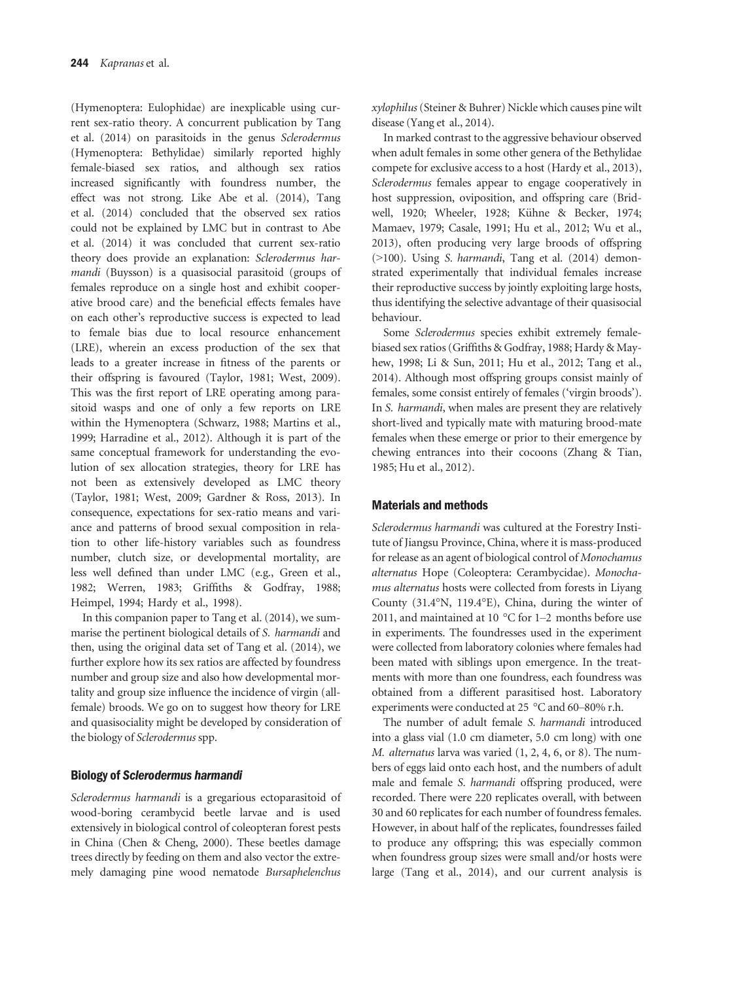(Hymenoptera: Eulophidae) are inexplicable using current sex-ratio theory. A concurrent publication by Tang et al. (2014) on parasitoids in the genus Sclerodermus (Hymenoptera: Bethylidae) similarly reported highly female-biased sex ratios, and although sex ratios increased significantly with foundress number, the effect was not strong. Like Abe et al. (2014), Tang et al. (2014) concluded that the observed sex ratios could not be explained by LMC but in contrast to Abe et al. (2014) it was concluded that current sex-ratio theory does provide an explanation: Sclerodermus harmandi (Buysson) is a quasisocial parasitoid (groups of females reproduce on a single host and exhibit cooperative brood care) and the beneficial effects females have on each other's reproductive success is expected to lead to female bias due to local resource enhancement (LRE), wherein an excess production of the sex that leads to a greater increase in fitness of the parents or their offspring is favoured (Taylor, 1981; West, 2009). This was the first report of LRE operating among parasitoid wasps and one of only a few reports on LRE within the Hymenoptera (Schwarz, 1988; Martins et al., 1999; Harradine et al., 2012). Although it is part of the same conceptual framework for understanding the evolution of sex allocation strategies, theory for LRE has not been as extensively developed as LMC theory (Taylor, 1981; West, 2009; Gardner & Ross, 2013). In consequence, expectations for sex-ratio means and variance and patterns of brood sexual composition in relation to other life-history variables such as foundress number, clutch size, or developmental mortality, are less well defined than under LMC (e.g., Green et al., 1982; Werren, 1983; Griffiths & Godfray, 1988; Heimpel, 1994; Hardy et al., 1998).

In this companion paper to Tang et al. (2014), we summarise the pertinent biological details of S. harmandi and then, using the original data set of Tang et al. (2014), we further explore how its sex ratios are affected by foundress number and group size and also how developmental mortality and group size influence the incidence of virgin (allfemale) broods. We go on to suggest how theory for LRE and quasisociality might be developed by consideration of the biology of Sclerodermus spp.

#### Biology of Sclerodermus harmandi

Sclerodermus harmandi is a gregarious ectoparasitoid of wood-boring cerambycid beetle larvae and is used extensively in biological control of coleopteran forest pests in China (Chen & Cheng, 2000). These beetles damage trees directly by feeding on them and also vector the extremely damaging pine wood nematode Bursaphelenchus

xylophilus(Steiner & Buhrer) Nickle which causes pine wilt disease (Yang et al., 2014).

In marked contrast to the aggressive behaviour observed when adult females in some other genera of the Bethylidae compete for exclusive access to a host (Hardy et al., 2013), Sclerodermus females appear to engage cooperatively in host suppression, oviposition, and offspring care (Bridwell, 1920; Wheeler, 1928; Kühne & Becker, 1974; Mamaev, 1979; Casale, 1991; Hu et al., 2012; Wu et al., 2013), often producing very large broods of offspring (>100). Using S. harmandi, Tang et al. (2014) demonstrated experimentally that individual females increase their reproductive success by jointly exploiting large hosts, thus identifying the selective advantage of their quasisocial behaviour.

Some Sclerodermus species exhibit extremely femalebiased sex ratios (Griffiths & Godfray, 1988; Hardy & Mayhew, 1998; Li & Sun, 2011; Hu et al., 2012; Tang et al., 2014). Although most offspring groups consist mainly of females, some consist entirely of females ('virgin broods'). In S. harmandi, when males are present they are relatively short-lived and typically mate with maturing brood-mate females when these emerge or prior to their emergence by chewing entrances into their cocoons (Zhang & Tian, 1985; Hu et al., 2012).

#### Materials and methods

Sclerodermus harmandi was cultured at the Forestry Institute of Jiangsu Province, China, where it is mass-produced for release as an agent of biological control of Monochamus alternatus Hope (Coleoptera: Cerambycidae). Monochamus alternatus hosts were collected from forests in Liyang County (31.4°N, 119.4°E), China, during the winter of 2011, and maintained at 10  $^{\circ}$ C for 1–2 months before use in experiments. The foundresses used in the experiment were collected from laboratory colonies where females had been mated with siblings upon emergence. In the treatments with more than one foundress, each foundress was obtained from a different parasitised host. Laboratory experiments were conducted at 25 °C and 60–80% r.h.

The number of adult female S. harmandi introduced into a glass vial (1.0 cm diameter, 5.0 cm long) with one M. alternatus larva was varied (1, 2, 4, 6, or 8). The numbers of eggs laid onto each host, and the numbers of adult male and female S. harmandi offspring produced, were recorded. There were 220 replicates overall, with between 30 and 60 replicates for each number of foundress females. However, in about half of the replicates, foundresses failed to produce any offspring; this was especially common when foundress group sizes were small and/or hosts were large (Tang et al., 2014), and our current analysis is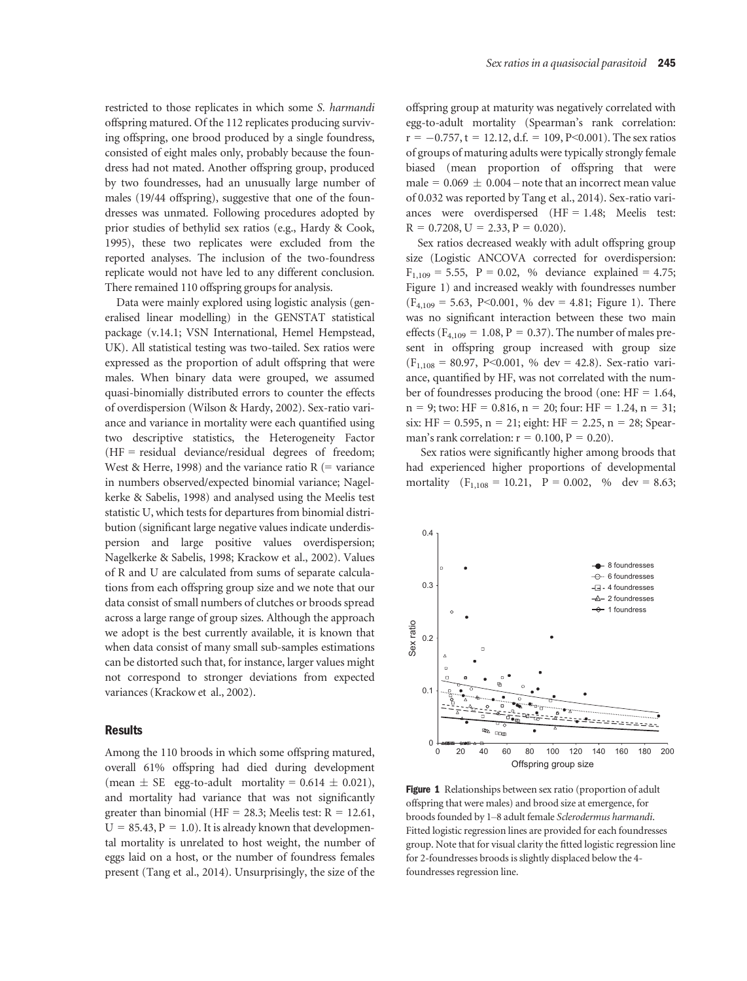restricted to those replicates in which some S. harmandi offspring matured. Of the 112 replicates producing surviving offspring, one brood produced by a single foundress, consisted of eight males only, probably because the foundress had not mated. Another offspring group, produced by two foundresses, had an unusually large number of males (19/44 offspring), suggestive that one of the foundresses was unmated. Following procedures adopted by prior studies of bethylid sex ratios (e.g., Hardy & Cook, 1995), these two replicates were excluded from the reported analyses. The inclusion of the two-foundress replicate would not have led to any different conclusion. There remained 110 offspring groups for analysis.

Data were mainly explored using logistic analysis (generalised linear modelling) in the GENSTAT statistical package (v.14.1; VSN International, Hemel Hempstead, UK). All statistical testing was two-tailed. Sex ratios were expressed as the proportion of adult offspring that were males. When binary data were grouped, we assumed quasi-binomially distributed errors to counter the effects of overdispersion (Wilson & Hardy, 2002). Sex-ratio variance and variance in mortality were each quantified using two descriptive statistics, the Heterogeneity Factor (HF = residual deviance/residual degrees of freedom; West & Herre, 1998) and the variance ratio  $R$  (= variance in numbers observed/expected binomial variance; Nagelkerke & Sabelis, 1998) and analysed using the Meelis test statistic U, which tests for departures from binomial distribution (significant large negative values indicate underdispersion and large positive values overdispersion; Nagelkerke & Sabelis, 1998; Krackow et al., 2002). Values of R and U are calculated from sums of separate calculations from each offspring group size and we note that our data consist of small numbers of clutches or broods spread across a large range of group sizes. Although the approach we adopt is the best currently available, it is known that when data consist of many small sub-samples estimations can be distorted such that, for instance, larger values might not correspond to stronger deviations from expected variances (Krackow et al., 2002).

#### **Results**

Among the 110 broods in which some offspring matured, overall 61% offspring had died during development (mean  $\pm$  SE egg-to-adult mortality = 0.614  $\pm$  0.021), and mortality had variance that was not significantly greater than binomial (HF = 28.3; Meelis test:  $R = 12.61$ ,  $U = 85.43$ ,  $P = 1.0$ ). It is already known that developmental mortality is unrelated to host weight, the number of eggs laid on a host, or the number of foundress females present (Tang et al., 2014). Unsurprisingly, the size of the offspring group at maturity was negatively correlated with egg-to-adult mortality (Spearman's rank correlation:  $r = -0.757$ ,  $t = 12.12$ , d.f. = 109, P<0.001). The sex ratios of groups of maturing adults were typically strongly female biased (mean proportion of offspring that were male =  $0.069 \pm 0.004$  – note that an incorrect mean value of 0.032 was reported by Tang et al., 2014). Sex-ratio variances were overdispersed (HF = 1.48; Meelis test:  $R = 0.7208$ ,  $U = 2.33$ ,  $P = 0.020$ ).

Sex ratios decreased weakly with adult offspring group size (Logistic ANCOVA corrected for overdispersion:  $F_{1,109} = 5.55$ ,  $P = 0.02$ , % deviance explained = 4.75; Figure 1) and increased weakly with foundresses number  $(F_{4,109} = 5.63, P<0.001, %$  dev = 4.81; Figure 1). There was no significant interaction between these two main effects ( $F_{4,109} = 1.08$ ,  $P = 0.37$ ). The number of males present in offspring group increased with group size  $(F<sub>1.108</sub> = 80.97, P<0.001, % dev = 42.8)$ . Sex-ratio variance, quantified by HF, was not correlated with the number of foundresses producing the brood (one:  $HF = 1.64$ ,  $n = 9$ ; two: HF = 0.816,  $n = 20$ ; four: HF = 1.24,  $n = 31$ ; six: HF = 0.595, n = 21; eight: HF = 2.25, n = 28; Spearman's rank correlation:  $r = 0.100$ ,  $P = 0.20$ ).

Sex ratios were significantly higher among broods that had experienced higher proportions of developmental mortality  $(F_{1,108} = 10.21, P = 0.002, % \text{dev} = 8.63;$ 



Figure 1 Relationships between sex ratio (proportion of adult offspring that were males) and brood size at emergence, for broods founded by 1–8 adult female Sclerodermus harmandi. Fitted logistic regression lines are provided for each foundresses group. Note that for visual clarity the fitted logistic regression line for 2-foundresses broods is slightly displaced below the 4 foundresses regression line.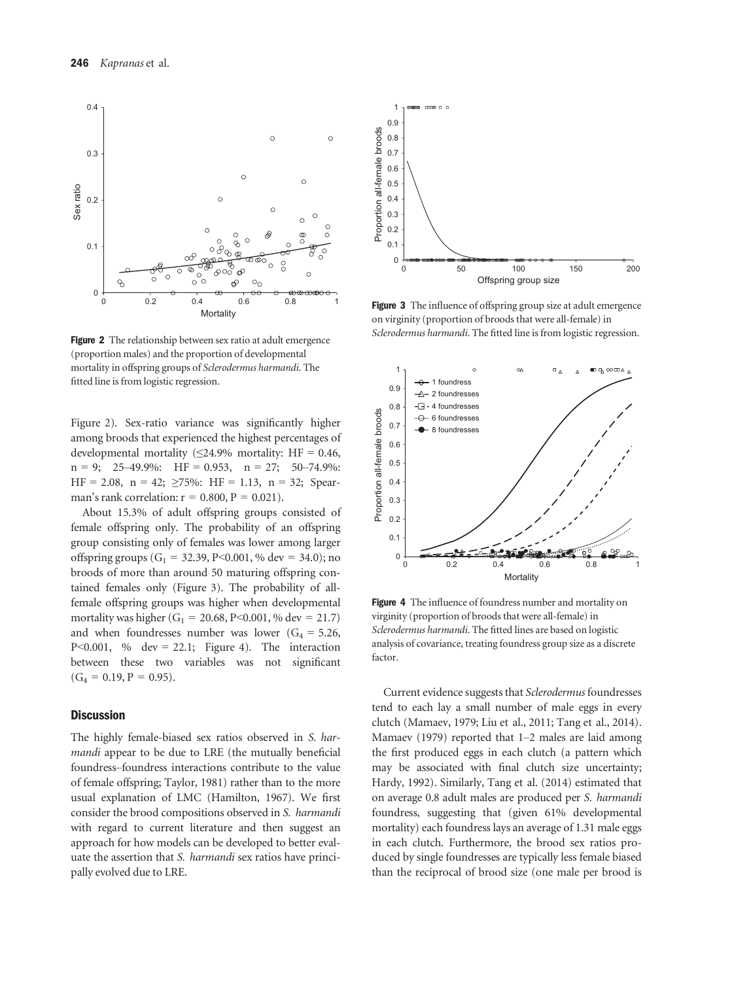

Figure 2 The relationship between sex ratio at adult emergence (proportion males) and the proportion of developmental mortality in offspring groups of Sclerodermus harmandi. The fitted line is from logistic regression.

Figure 2). Sex-ratio variance was significantly higher among broods that experienced the highest percentages of developmental mortality ( $\leq$ 24.9% mortality: HF = 0.46,  $n = 9$ ; 25–49.9%: HF = 0.953,  $n = 27$ ; 50–74.9%: HF = 2.08, n = 42;  $\geq$ 75%: HF = 1.13, n = 32; Spearman's rank correlation:  $r = 0.800$ ,  $P = 0.021$ ).

About 15.3% of adult offspring groups consisted of female offspring only. The probability of an offspring group consisting only of females was lower among larger offspring groups ( $G_1 = 32.39$ , P<0.001, % dev = 34.0); no broods of more than around 50 maturing offspring contained females only (Figure 3). The probability of allfemale offspring groups was higher when developmental mortality was higher  $(G_1 = 20.68, P \le 0.001, \%$  dev = 21.7) and when foundresses number was lower  $(G_4 = 5.26,$ P<0.001, % dev = 22.1; Figure 4). The interaction between these two variables was not significant  $(G_4 = 0.19, P = 0.95).$ 

#### **Discussion**

The highly female-biased sex ratios observed in S. harmandi appear to be due to LRE (the mutually beneficial foundress–foundress interactions contribute to the value of female offspring; Taylor, 1981) rather than to the more usual explanation of LMC (Hamilton, 1967). We first consider the brood compositions observed in S. harmandi with regard to current literature and then suggest an approach for how models can be developed to better evaluate the assertion that S. harmandi sex ratios have principally evolved due to LRE.



Figure 3 The influence of offspring group size at adult emergence on virginity (proportion of broods that were all-female) in Sclerodermus harmandi. The fitted line is from logistic regression.



Figure 4 The influence of foundress number and mortality on virginity (proportion of broods that were all-female) in Sclerodermus harmandi. The fitted lines are based on logistic analysis of covariance, treating foundress group size as a discrete factor.

Current evidence suggests that Sclerodermus foundresses tend to each lay a small number of male eggs in every clutch (Mamaev, 1979; Liu et al., 2011; Tang et al., 2014). Mamaev (1979) reported that 1–2 males are laid among the first produced eggs in each clutch (a pattern which may be associated with final clutch size uncertainty; Hardy, 1992). Similarly, Tang et al. (2014) estimated that on average 0.8 adult males are produced per S. harmandi foundress, suggesting that (given 61% developmental mortality) each foundress lays an average of 1.31 male eggs in each clutch. Furthermore, the brood sex ratios produced by single foundresses are typically less female biased than the reciprocal of brood size (one male per brood is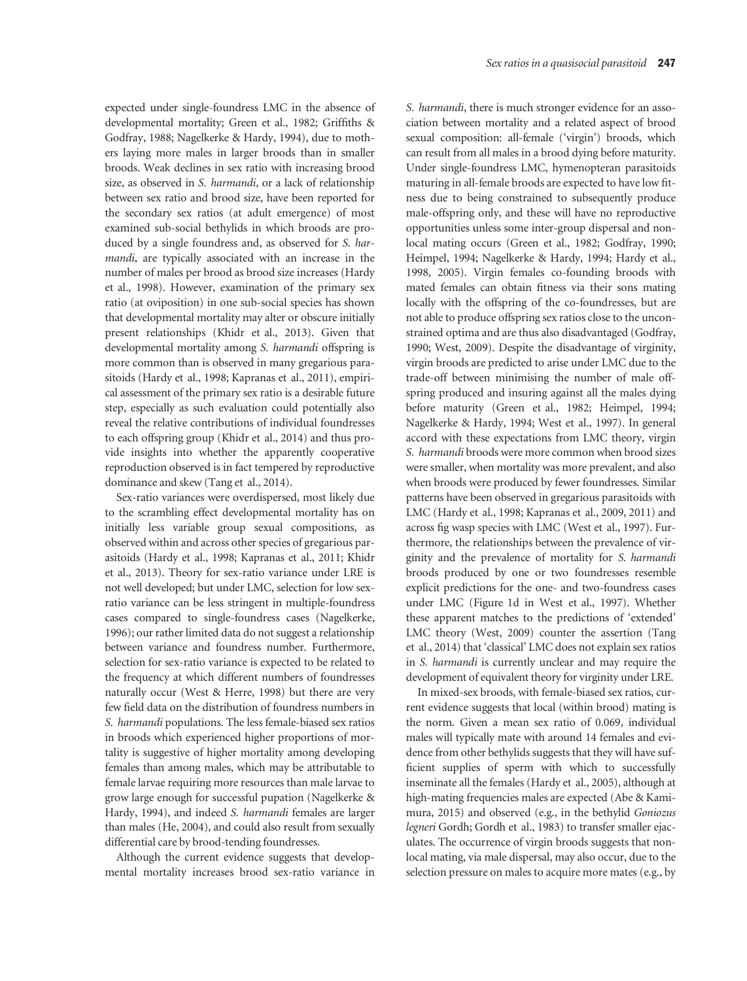expected under single-foundress LMC in the absence of developmental mortality; Green et al., 1982; Griffiths & Godfray, 1988; Nagelkerke & Hardy, 1994), due to mothers laying more males in larger broods than in smaller broods. Weak declines in sex ratio with increasing brood size, as observed in S. harmandi, or a lack of relationship between sex ratio and brood size, have been reported for the secondary sex ratios (at adult emergence) of most examined sub-social bethylids in which broods are produced by a single foundress and, as observed for S. harmandi, are typically associated with an increase in the number of males per brood as brood size increases (Hardy et al., 1998). However, examination of the primary sex ratio (at oviposition) in one sub-social species has shown that developmental mortality may alter or obscure initially present relationships (Khidr et al., 2013). Given that developmental mortality among S. harmandi offspring is more common than is observed in many gregarious parasitoids (Hardy et al., 1998; Kapranas et al., 2011), empirical assessment of the primary sex ratio is a desirable future step, especially as such evaluation could potentially also reveal the relative contributions of individual foundresses to each offspring group (Khidr et al., 2014) and thus provide insights into whether the apparently cooperative reproduction observed is in fact tempered by reproductive dominance and skew (Tang et al., 2014).

Sex-ratio variances were overdispersed, most likely due to the scrambling effect developmental mortality has on initially less variable group sexual compositions, as observed within and across other species of gregarious parasitoids (Hardy et al., 1998; Kapranas et al., 2011; Khidr et al., 2013). Theory for sex-ratio variance under LRE is not well developed; but under LMC, selection for low sexratio variance can be less stringent in multiple-foundress cases compared to single-foundress cases (Nagelkerke, 1996); our rather limited data do not suggest a relationship between variance and foundress number. Furthermore, selection for sex-ratio variance is expected to be related to the frequency at which different numbers of foundresses naturally occur (West & Herre, 1998) but there are very few field data on the distribution of foundress numbers in S. harmandi populations. The less female-biased sex ratios in broods which experienced higher proportions of mortality is suggestive of higher mortality among developing females than among males, which may be attributable to female larvae requiring more resources than male larvae to grow large enough for successful pupation (Nagelkerke & Hardy, 1994), and indeed S. harmandi females are larger than males (He, 2004), and could also result from sexually differential care by brood-tending foundresses.

Although the current evidence suggests that developmental mortality increases brood sex-ratio variance in S. harmandi, there is much stronger evidence for an association between mortality and a related aspect of brood sexual composition: all-female ('virgin') broods, which can result from all males in a brood dying before maturity. Under single-foundress LMC, hymenopteran parasitoids maturing in all-female broods are expected to have low fitness due to being constrained to subsequently produce male-offspring only, and these will have no reproductive opportunities unless some inter-group dispersal and nonlocal mating occurs (Green et al., 1982; Godfray, 1990; Heimpel, 1994; Nagelkerke & Hardy, 1994; Hardy et al., 1998, 2005). Virgin females co-founding broods with mated females can obtain fitness via their sons mating locally with the offspring of the co-foundresses, but are not able to produce offspring sex ratios close to the unconstrained optima and are thus also disadvantaged (Godfray, 1990; West, 2009). Despite the disadvantage of virginity, virgin broods are predicted to arise under LMC due to the trade-off between minimising the number of male offspring produced and insuring against all the males dying before maturity (Green et al., 1982; Heimpel, 1994; Nagelkerke & Hardy, 1994; West et al., 1997). In general accord with these expectations from LMC theory, virgin S. harmandi broods were more common when brood sizes were smaller, when mortality was more prevalent, and also when broods were produced by fewer foundresses. Similar patterns have been observed in gregarious parasitoids with LMC (Hardy et al., 1998; Kapranas et al., 2009, 2011) and across fig wasp species with LMC (West et al., 1997). Furthermore, the relationships between the prevalence of virginity and the prevalence of mortality for S. harmandi broods produced by one or two foundresses resemble explicit predictions for the one- and two-foundress cases under LMC (Figure 1d in West et al., 1997). Whether these apparent matches to the predictions of 'extended' LMC theory (West, 2009) counter the assertion (Tang et al., 2014) that 'classical' LMC does not explain sex ratios in S. harmandi is currently unclear and may require the development of equivalent theory for virginity under LRE.

In mixed-sex broods, with female-biased sex ratios, current evidence suggests that local (within brood) mating is the norm. Given a mean sex ratio of 0.069, individual males will typically mate with around 14 females and evidence from other bethylids suggests that they will have sufficient supplies of sperm with which to successfully inseminate all the females (Hardy et al., 2005), although at high-mating frequencies males are expected (Abe & Kamimura, 2015) and observed (e.g., in the bethylid Goniozus legneri Gordh; Gordh et al., 1983) to transfer smaller ejaculates. The occurrence of virgin broods suggests that nonlocal mating, via male dispersal, may also occur, due to the selection pressure on males to acquire more mates (e.g., by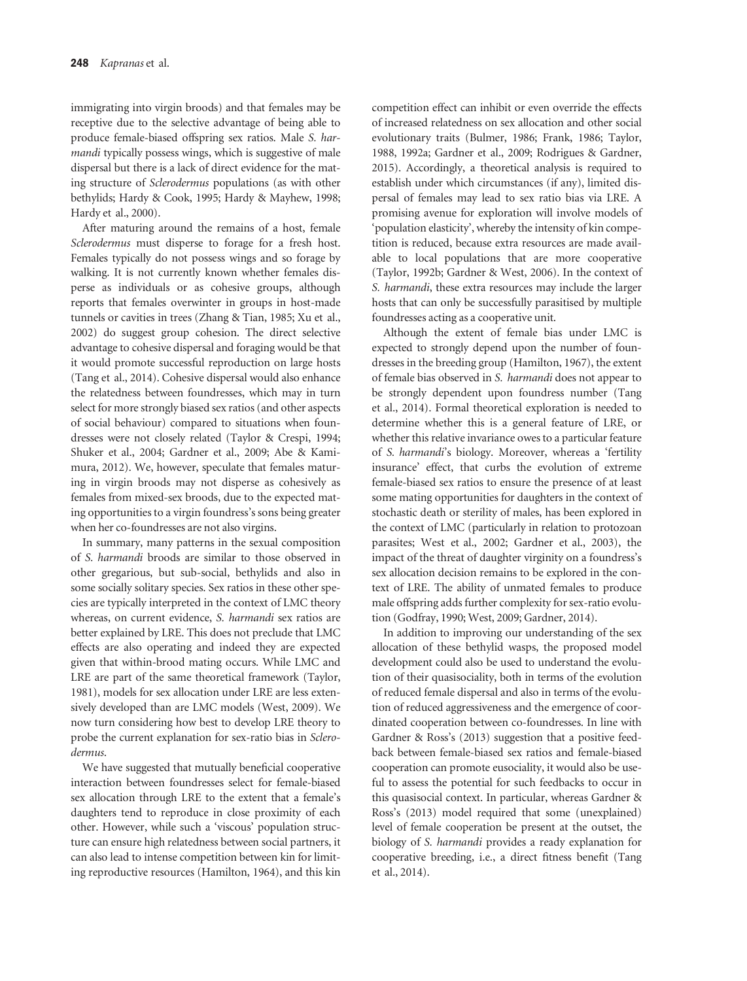immigrating into virgin broods) and that females may be receptive due to the selective advantage of being able to produce female-biased offspring sex ratios. Male S. harmandi typically possess wings, which is suggestive of male dispersal but there is a lack of direct evidence for the mating structure of Sclerodermus populations (as with other bethylids; Hardy & Cook, 1995; Hardy & Mayhew, 1998; Hardy et al., 2000).

After maturing around the remains of a host, female Sclerodermus must disperse to forage for a fresh host. Females typically do not possess wings and so forage by walking. It is not currently known whether females disperse as individuals or as cohesive groups, although reports that females overwinter in groups in host-made tunnels or cavities in trees (Zhang & Tian, 1985; Xu et al., 2002) do suggest group cohesion. The direct selective advantage to cohesive dispersal and foraging would be that it would promote successful reproduction on large hosts (Tang et al., 2014). Cohesive dispersal would also enhance the relatedness between foundresses, which may in turn select for more strongly biased sex ratios (and other aspects of social behaviour) compared to situations when foundresses were not closely related (Taylor & Crespi, 1994; Shuker et al., 2004; Gardner et al., 2009; Abe & Kamimura, 2012). We, however, speculate that females maturing in virgin broods may not disperse as cohesively as females from mixed-sex broods, due to the expected mating opportunities to a virgin foundress's sons being greater when her co-foundresses are not also virgins.

In summary, many patterns in the sexual composition of S. harmandi broods are similar to those observed in other gregarious, but sub-social, bethylids and also in some socially solitary species. Sex ratios in these other species are typically interpreted in the context of LMC theory whereas, on current evidence, S. harmandi sex ratios are better explained by LRE. This does not preclude that LMC effects are also operating and indeed they are expected given that within-brood mating occurs. While LMC and LRE are part of the same theoretical framework (Taylor, 1981), models for sex allocation under LRE are less extensively developed than are LMC models (West, 2009). We now turn considering how best to develop LRE theory to probe the current explanation for sex-ratio bias in Sclerodermus.

We have suggested that mutually beneficial cooperative interaction between foundresses select for female-biased sex allocation through LRE to the extent that a female's daughters tend to reproduce in close proximity of each other. However, while such a 'viscous' population structure can ensure high relatedness between social partners, it can also lead to intense competition between kin for limiting reproductive resources (Hamilton, 1964), and this kin

competition effect can inhibit or even override the effects of increased relatedness on sex allocation and other social evolutionary traits (Bulmer, 1986; Frank, 1986; Taylor, 1988, 1992a; Gardner et al., 2009; Rodrigues & Gardner, 2015). Accordingly, a theoretical analysis is required to establish under which circumstances (if any), limited dispersal of females may lead to sex ratio bias via LRE. A promising avenue for exploration will involve models of 'population elasticity', whereby the intensity of kin competition is reduced, because extra resources are made available to local populations that are more cooperative (Taylor, 1992b; Gardner & West, 2006). In the context of S. harmandi, these extra resources may include the larger hosts that can only be successfully parasitised by multiple foundresses acting as a cooperative unit.

Although the extent of female bias under LMC is expected to strongly depend upon the number of foundresses in the breeding group (Hamilton, 1967), the extent of female bias observed in S. harmandi does not appear to be strongly dependent upon foundress number (Tang et al., 2014). Formal theoretical exploration is needed to determine whether this is a general feature of LRE, or whether this relative invariance owes to a particular feature of S. harmandi's biology. Moreover, whereas a 'fertility insurance' effect, that curbs the evolution of extreme female-biased sex ratios to ensure the presence of at least some mating opportunities for daughters in the context of stochastic death or sterility of males, has been explored in the context of LMC (particularly in relation to protozoan parasites; West et al., 2002; Gardner et al., 2003), the impact of the threat of daughter virginity on a foundress's sex allocation decision remains to be explored in the context of LRE. The ability of unmated females to produce male offspring adds further complexity for sex-ratio evolution (Godfray, 1990; West, 2009; Gardner, 2014).

In addition to improving our understanding of the sex allocation of these bethylid wasps, the proposed model development could also be used to understand the evolution of their quasisociality, both in terms of the evolution of reduced female dispersal and also in terms of the evolution of reduced aggressiveness and the emergence of coordinated cooperation between co-foundresses. In line with Gardner & Ross's (2013) suggestion that a positive feedback between female-biased sex ratios and female-biased cooperation can promote eusociality, it would also be useful to assess the potential for such feedbacks to occur in this quasisocial context. In particular, whereas Gardner & Ross's (2013) model required that some (unexplained) level of female cooperation be present at the outset, the biology of S. harmandi provides a ready explanation for cooperative breeding, i.e., a direct fitness benefit (Tang et al., 2014).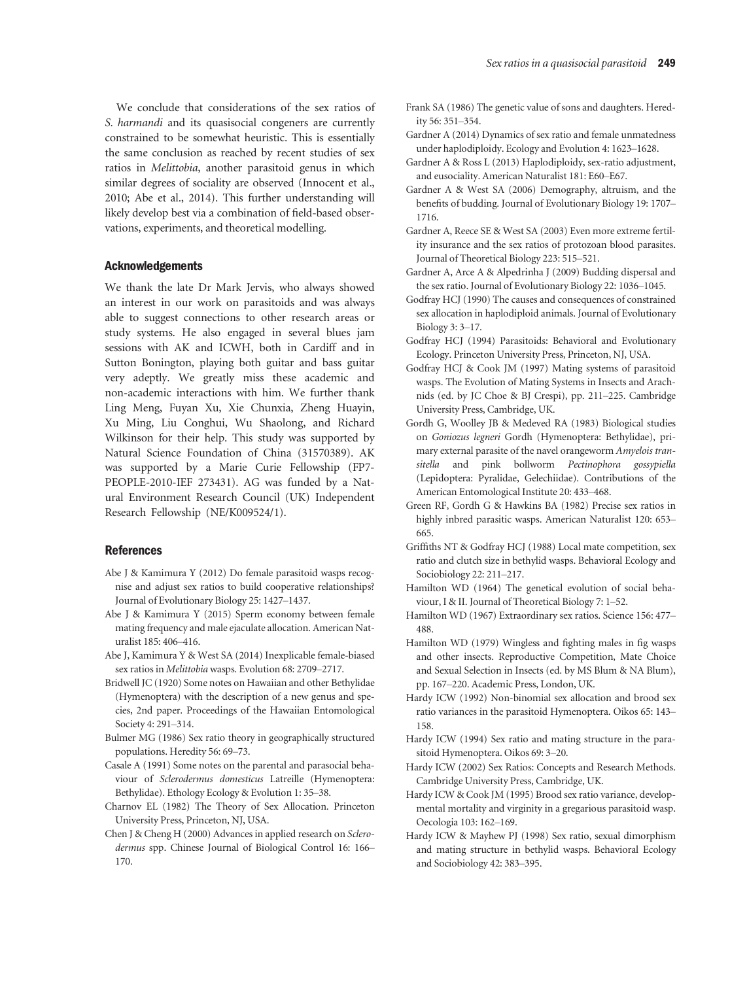We conclude that considerations of the sex ratios of S. harmandi and its quasisocial congeners are currently constrained to be somewhat heuristic. This is essentially the same conclusion as reached by recent studies of sex ratios in Melittobia, another parasitoid genus in which similar degrees of sociality are observed (Innocent et al., 2010; Abe et al., 2014). This further understanding will likely develop best via a combination of field-based observations, experiments, and theoretical modelling.

#### Acknowledgements

We thank the late Dr Mark Jervis, who always showed an interest in our work on parasitoids and was always able to suggest connections to other research areas or study systems. He also engaged in several blues jam sessions with AK and ICWH, both in Cardiff and in Sutton Bonington, playing both guitar and bass guitar very adeptly. We greatly miss these academic and non-academic interactions with him. We further thank Ling Meng, Fuyan Xu, Xie Chunxia, Zheng Huayin, Xu Ming, Liu Conghui, Wu Shaolong, and Richard Wilkinson for their help. This study was supported by Natural Science Foundation of China (31570389). AK was supported by a Marie Curie Fellowship (FP7- PEOPLE-2010-IEF 273431). AG was funded by a Natural Environment Research Council (UK) Independent Research Fellowship (NE/K009524/1).

#### References

- Abe J & Kamimura Y (2012) Do female parasitoid wasps recognise and adjust sex ratios to build cooperative relationships? Journal of Evolutionary Biology 25: 1427–1437.
- Abe J & Kamimura Y (2015) Sperm economy between female mating frequency and male ejaculate allocation. American Naturalist 185: 406–416.
- Abe J, Kamimura Y & West SA (2014) Inexplicable female-biased sex ratios in Melittobia wasps. Evolution 68: 2709–2717.
- Bridwell JC (1920) Some notes on Hawaiian and other Bethylidae (Hymenoptera) with the description of a new genus and species, 2nd paper. Proceedings of the Hawaiian Entomological Society 4: 291–314.
- Bulmer MG (1986) Sex ratio theory in geographically structured populations. Heredity 56: 69–73.
- Casale A (1991) Some notes on the parental and parasocial behaviour of Sclerodermus domesticus Latreille (Hymenoptera: Bethylidae). Ethology Ecology & Evolution 1: 35–38.
- Charnov EL (1982) The Theory of Sex Allocation. Princeton University Press, Princeton, NJ, USA.
- Chen J & Cheng H (2000) Advances in applied research on Sclerodermus spp. Chinese Journal of Biological Control 16: 166– 170.
- Frank SA (1986) The genetic value of sons and daughters. Heredity 56: 351–354.
- Gardner A (2014) Dynamics of sex ratio and female unmatedness under haplodiploidy. Ecology and Evolution 4: 1623–1628.
- Gardner A & Ross L (2013) Haplodiploidy, sex-ratio adjustment, and eusociality. American Naturalist 181: E60–E67.
- Gardner A & West SA (2006) Demography, altruism, and the benefits of budding. Journal of Evolutionary Biology 19: 1707– 1716.
- Gardner A, Reece SE & West SA (2003) Even more extreme fertility insurance and the sex ratios of protozoan blood parasites. Journal of Theoretical Biology 223: 515–521.
- Gardner A, Arce A & Alpedrinha J (2009) Budding dispersal and the sex ratio. Journal of Evolutionary Biology 22: 1036–1045.
- Godfray HCJ (1990) The causes and consequences of constrained sex allocation in haplodiploid animals. Journal of Evolutionary Biology 3: 3–17.
- Godfray HCJ (1994) Parasitoids: Behavioral and Evolutionary Ecology. Princeton University Press, Princeton, NJ, USA.
- Godfray HCJ & Cook JM (1997) Mating systems of parasitoid wasps. The Evolution of Mating Systems in Insects and Arachnids (ed. by JC Choe & BJ Crespi), pp. 211–225. Cambridge University Press, Cambridge, UK.
- Gordh G, Woolley JB & Medeved RA (1983) Biological studies on Goniozus legneri Gordh (Hymenoptera: Bethylidae), primary external parasite of the navel orangeworm Amyelois transitella and pink bollworm Pectinophora gossypiella (Lepidoptera: Pyralidae, Gelechiidae). Contributions of the American Entomological Institute 20: 433–468.
- Green RF, Gordh G & Hawkins BA (1982) Precise sex ratios in highly inbred parasitic wasps. American Naturalist 120: 653– 665.
- Griffiths NT & Godfray HCJ (1988) Local mate competition, sex ratio and clutch size in bethylid wasps. Behavioral Ecology and Sociobiology 22: 211–217.
- Hamilton WD (1964) The genetical evolution of social behaviour, I & II. Journal of Theoretical Biology 7: 1–52.
- Hamilton WD (1967) Extraordinary sex ratios. Science 156: 477– 488.
- Hamilton WD (1979) Wingless and fighting males in fig wasps and other insects. Reproductive Competition, Mate Choice and Sexual Selection in Insects (ed. by MS Blum & NA Blum), pp. 167–220. Academic Press, London, UK.
- Hardy ICW (1992) Non-binomial sex allocation and brood sex ratio variances in the parasitoid Hymenoptera. Oikos 65: 143– 158.
- Hardy ICW (1994) Sex ratio and mating structure in the parasitoid Hymenoptera. Oikos 69: 3–20.
- Hardy ICW (2002) Sex Ratios: Concepts and Research Methods. Cambridge University Press, Cambridge, UK.
- Hardy ICW & Cook JM (1995) Brood sex ratio variance, developmental mortality and virginity in a gregarious parasitoid wasp. Oecologia 103: 162–169.
- Hardy ICW & Mayhew PJ (1998) Sex ratio, sexual dimorphism and mating structure in bethylid wasps. Behavioral Ecology and Sociobiology 42: 383–395.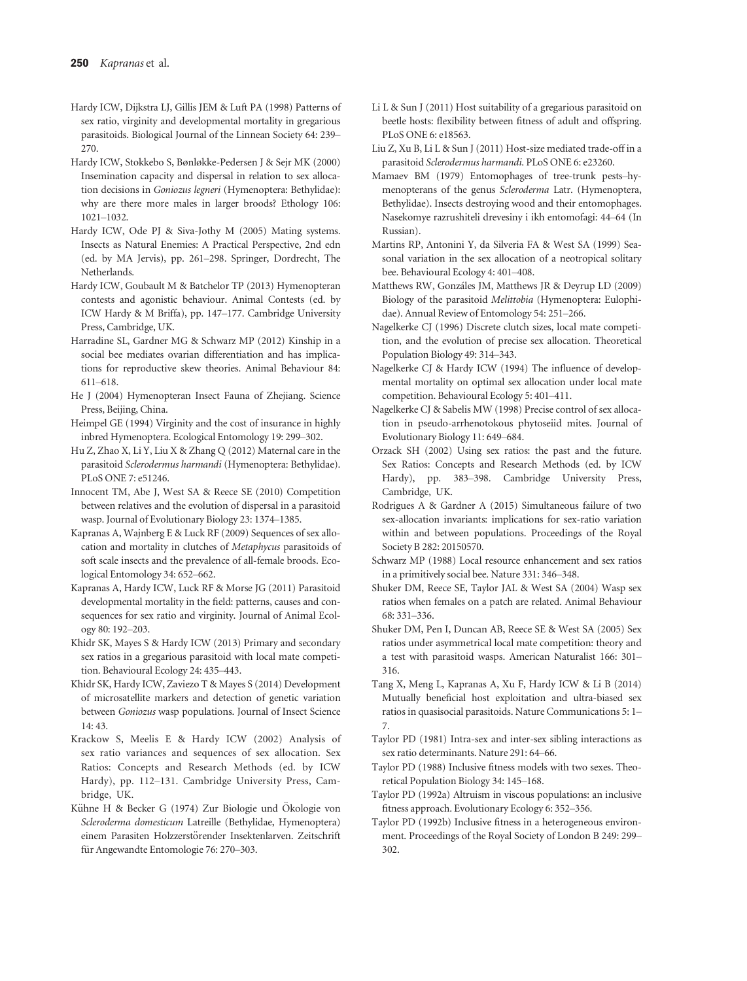- Hardy ICW, Dijkstra LJ, Gillis JEM & Luft PA (1998) Patterns of sex ratio, virginity and developmental mortality in gregarious parasitoids. Biological Journal of the Linnean Society 64: 239– 270.
- Hardy ICW, Stokkebo S, Bønløkke-Pedersen J & Sejr MK (2000) Insemination capacity and dispersal in relation to sex allocation decisions in Goniozus legneri (Hymenoptera: Bethylidae): why are there more males in larger broods? Ethology 106: 1021–1032.
- Hardy ICW, Ode PJ & Siva-Jothy M (2005) Mating systems. Insects as Natural Enemies: A Practical Perspective, 2nd edn (ed. by MA Jervis), pp. 261–298. Springer, Dordrecht, The Netherlands.
- Hardy ICW, Goubault M & Batchelor TP (2013) Hymenopteran contests and agonistic behaviour. Animal Contests (ed. by ICW Hardy & M Briffa), pp. 147–177. Cambridge University Press, Cambridge, UK.
- Harradine SL, Gardner MG & Schwarz MP (2012) Kinship in a social bee mediates ovarian differentiation and has implications for reproductive skew theories. Animal Behaviour 84: 611–618.
- He J (2004) Hymenopteran Insect Fauna of Zhejiang. Science Press, Beijing, China.
- Heimpel GE (1994) Virginity and the cost of insurance in highly inbred Hymenoptera. Ecological Entomology 19: 299–302.
- Hu Z, Zhao X, Li Y, Liu X & Zhang Q (2012) Maternal care in the parasitoid Sclerodermus harmandi (Hymenoptera: Bethylidae). PLoS ONE 7: e51246.

Innocent TM, Abe J, West SA & Reece SE (2010) Competition between relatives and the evolution of dispersal in a parasitoid wasp. Journal of Evolutionary Biology 23: 1374–1385.

- Kapranas A, Wajnberg E & Luck RF (2009) Sequences of sex allocation and mortality in clutches of Metaphycus parasitoids of soft scale insects and the prevalence of all-female broods. Ecological Entomology 34: 652–662.
- Kapranas A, Hardy ICW, Luck RF & Morse JG (2011) Parasitoid developmental mortality in the field: patterns, causes and consequences for sex ratio and virginity. Journal of Animal Ecology 80: 192–203.
- Khidr SK, Mayes S & Hardy ICW (2013) Primary and secondary sex ratios in a gregarious parasitoid with local mate competition. Behavioural Ecology 24: 435–443.
- Khidr SK, Hardy ICW, Zaviezo T & Mayes S (2014) Development of microsatellite markers and detection of genetic variation between Goniozus wasp populations. Journal of Insect Science 14: 43.
- Krackow S, Meelis E & Hardy ICW (2002) Analysis of sex ratio variances and sequences of sex allocation. Sex Ratios: Concepts and Research Methods (ed. by ICW Hardy), pp. 112–131. Cambridge University Press, Cambridge, UK.
- Kühne H & Becker G (1974) Zur Biologie und Ökologie von Scleroderma domesticum Latreille (Bethylidae, Hymenoptera) einem Parasiten Holzzerstörender Insektenlarven. Zeitschrift für Angewandte Entomologie 76: 270-303.
- Li L & Sun J (2011) Host suitability of a gregarious parasitoid on beetle hosts: flexibility between fitness of adult and offspring. PLoS ONE 6: e18563.
- Liu Z, Xu B, Li L & Sun J (2011) Host-size mediated trade-off in a parasitoid Sclerodermus harmandi. PLoS ONE 6: e23260.
- Mamaev BM (1979) Entomophages of tree-trunk pests–hymenopterans of the genus Scleroderma Latr. (Hymenoptera, Bethylidae). Insects destroying wood and their entomophages. Nasekomye razrushiteli drevesiny i ikh entomofagi: 44–64 (In Russian).
- Martins RP, Antonini Y, da Silveria FA & West SA (1999) Seasonal variation in the sex allocation of a neotropical solitary bee. Behavioural Ecology 4: 401–408.
- Matthews RW, Gonzáles JM, Matthews JR & Deyrup LD (2009) Biology of the parasitoid Melittobia (Hymenoptera: Eulophidae). Annual Review of Entomology 54: 251–266.
- Nagelkerke CJ (1996) Discrete clutch sizes, local mate competition, and the evolution of precise sex allocation. Theoretical Population Biology 49: 314–343.
- Nagelkerke CJ & Hardy ICW (1994) The influence of developmental mortality on optimal sex allocation under local mate competition. Behavioural Ecology 5: 401–411.
- Nagelkerke CJ & Sabelis MW (1998) Precise control of sex allocation in pseudo-arrhenotokous phytoseiid mites. Journal of Evolutionary Biology 11: 649–684.
- Orzack SH (2002) Using sex ratios: the past and the future. Sex Ratios: Concepts and Research Methods (ed. by ICW Hardy), pp. 383–398. Cambridge University Press, Cambridge, UK.
- Rodrigues A & Gardner A (2015) Simultaneous failure of two sex-allocation invariants: implications for sex-ratio variation within and between populations. Proceedings of the Royal Society B 282: 20150570.
- Schwarz MP (1988) Local resource enhancement and sex ratios in a primitively social bee. Nature 331: 346–348.
- Shuker DM, Reece SE, Taylor JAL & West SA (2004) Wasp sex ratios when females on a patch are related. Animal Behaviour 68: 331–336.
- Shuker DM, Pen I, Duncan AB, Reece SE & West SA (2005) Sex ratios under asymmetrical local mate competition: theory and a test with parasitoid wasps. American Naturalist 166: 301– 316.
- Tang X, Meng L, Kapranas A, Xu F, Hardy ICW & Li B (2014) Mutually beneficial host exploitation and ultra-biased sex ratios in quasisocial parasitoids. Nature Communications 5: 1– 7.
- Taylor PD (1981) Intra-sex and inter-sex sibling interactions as sex ratio determinants. Nature 291: 64–66.
- Taylor PD (1988) Inclusive fitness models with two sexes. Theoretical Population Biology 34: 145–168.
- Taylor PD (1992a) Altruism in viscous populations: an inclusive fitness approach. Evolutionary Ecology 6: 352–356.
- Taylor PD (1992b) Inclusive fitness in a heterogeneous environment. Proceedings of the Royal Society of London B 249: 299– 302.